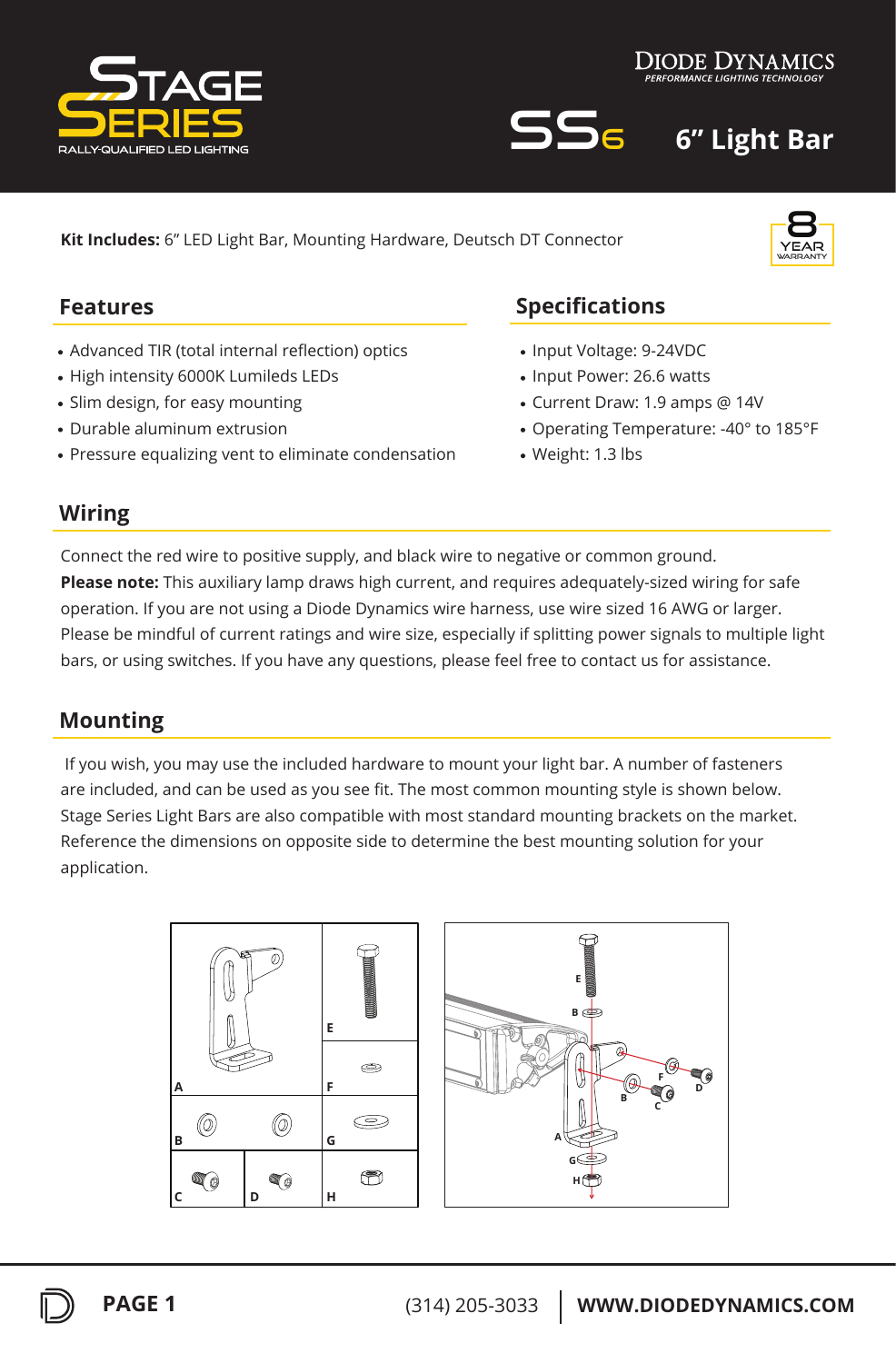



year 8 warranty

SS6 **6" Light Bar**

**Kit Includes:** 6" LED Light Bar, Mounting Hardware, Deutsch DT Connector

## **Features**

- Advanced TIR (total internal reflection) optics
- High intensity 6000K Lumileds LEDs
- Slim design, for easy mounting
- Durable aluminum extrusion
- Pressure equalizing vent to eliminate condensation

# **Specifications**

- Input Voltage: 9-24VDC
- Input Power: 26.6 watts
- Current Draw: 1.9 amps @ 14V
- Operating Temperature: -40° to 185°F
- Weight: 1.3 lbs

## **Wiring**

Connect the red wire to positive supply, and black wire to negative or common ground. **Please note:** This auxiliary lamp draws high current, and requires adequately-sized wiring for safe operation. If you are not using a Diode Dynamics wire harness, use wire sized 16 AWG or larger. Please be mindful of current ratings and wire size, especially if splitting power signals to multiple light bars, or using switches. If you have any questions, please feel free to contact us for assistance.

## **Mounting**

 If you wish, you may use the included hardware to mount your light bar. A number of fasteners are included, and can be used as you see fit. The most common mounting style is shown below. Stage Series Light Bars are also compatible with most standard mounting brackets on the market. Reference the dimensions on opposite side to determine the best mounting solution for your application.